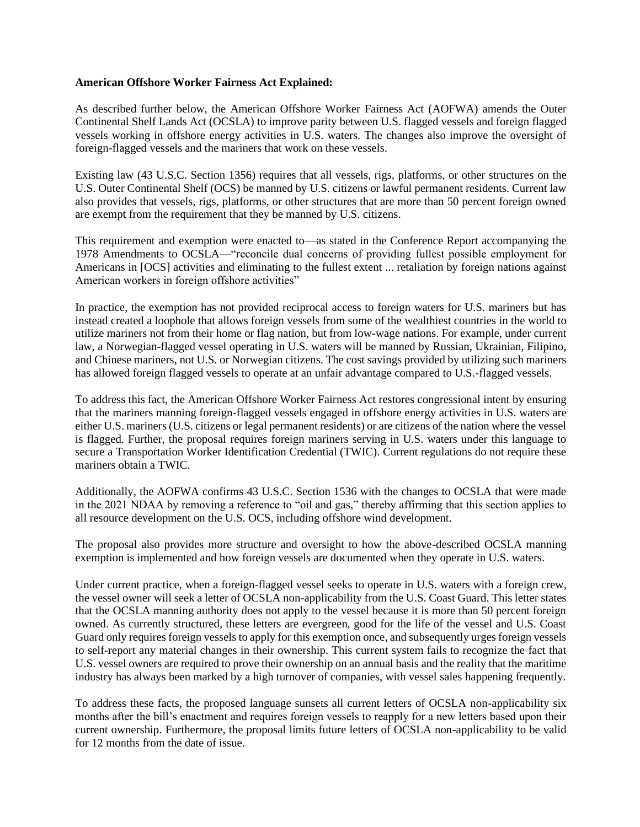## **American Offshore Worker Fairness Act Explained:**

As described further below, the American Offshore Worker Fairness Act (AOFWA) amends the Outer Continental Shelf Lands Act (OCSLA) to improve parity between U.S. flagged vessels and foreign flagged vessels working in offshore energy activities in U.S. waters. The changes also improve the oversight of foreign-flagged vessels and the mariners that work on these vessels.

Existing law (43 U.S.C. Section 1356) requires that all vessels, rigs, platforms, or other structures on the U.S. Outer Continental Shelf (OCS) be manned by U.S. citizens or lawful permanent residents. Current law also provides that vessels, rigs, platforms, or other structures that are more than 50 percent foreign owned are exempt from the requirement that they be manned by U.S. citizens.

This requirement and exemption were enacted to—as stated in the Conference Report accompanying the 1978 Amendments to OCSLA—"reconcile dual concerns of providing fullest possible employment for Americans in [OCS] activities and eliminating to the fullest extent ... retaliation by foreign nations against American workers in foreign offshore activities"

In practice, the exemption has not provided reciprocal access to foreign waters for U.S. mariners but has instead created a loophole that allows foreign vessels from some of the wealthiest countries in the world to utilize mariners not from their home or flag nation, but from low-wage nations. For example, under current law, a Norwegian-flagged vessel operating in U.S. waters will be manned by Russian, Ukrainian, Filipino, and Chinese mariners, not U.S. or Norwegian citizens. The cost savings provided by utilizing such mariners has allowed foreign flagged vessels to operate at an unfair advantage compared to U.S.-flagged vessels.

To address this fact, the American Offshore Worker Fairness Act restores congressional intent by ensuring that the mariners manning foreign-flagged vessels engaged in offshore energy activities in U.S. waters are either U.S. mariners (U.S. citizens or legal permanent residents) or are citizens of the nation where the vessel is flagged. Further, the proposal requires foreign mariners serving in U.S. waters under this language to secure a Transportation Worker Identification Credential (TWIC). Current regulations do not require these mariners obtain a TWIC.

Additionally, the AOFWA confirms 43 U.S.C. Section 1536 with the changes to OCSLA that were made in the 2021 NDAA by removing a reference to "oil and gas," thereby affirming that this section applies to all resource development on the U.S. OCS, including offshore wind development.

The proposal also provides more structure and oversight to how the above-described OCSLA manning exemption is implemented and how foreign vessels are documented when they operate in U.S. waters.

Under current practice, when a foreign-flagged vessel seeks to operate in U.S. waters with a foreign crew, the vessel owner will seek a letter of OCSLA non-applicability from the U.S. Coast Guard. This letter states that the OCSLA manning authority does not apply to the vessel because it is more than 50 percent foreign owned. As currently structured, these letters are evergreen, good for the life of the vessel and U.S. Coast Guard only requires foreign vessels to apply for this exemption once, and subsequently urges foreign vessels to self-report any material changes in their ownership. This current system fails to recognize the fact that U.S. vessel owners are required to prove their ownership on an annual basis and the reality that the maritime industry has always been marked by a high turnover of companies, with vessel sales happening frequently.

To address these facts, the proposed language sunsets all current letters of OCSLA non-applicability six months after the bill's enactment and requires foreign vessels to reapply for a new letters based upon their current ownership. Furthermore, the proposal limits future letters of OCSLA non-applicability to be valid for 12 months from the date of issue.